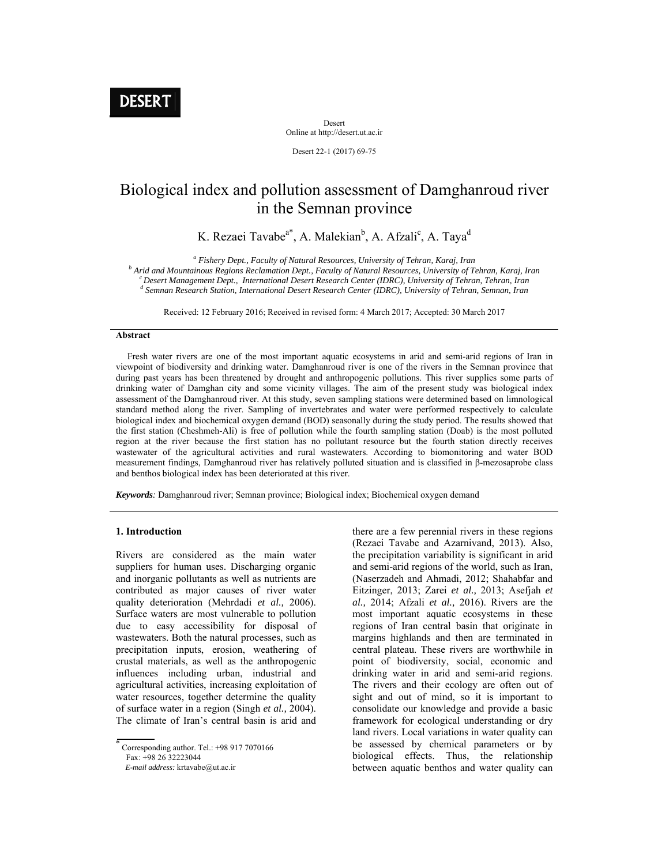**DESERT** 

Desert Online at http://desert.ut.ac.ir

Desert 22-1 (2017) 69-75

# Biological index and pollution assessment of Damghanroud river in the Semnan province

K. Rezaei Tavabe<sup>a\*</sup>, A. Malekian<sup>b</sup>, A. Afzali<sup>c</sup>, A. Taya<sup>d</sup>

<sup>a</sup> Fishery Dept., Faculty of Natural Resources, University of Tehran, Karaj, Iran <sup>b</sup> Arid and Mauntain ve Resigns Best under Leaving S. The *b Arid and Mauntain of T* 

<sup>b</sup> Arid and Mountainous Regions Reclamation Dept., Faculty of Natural Resources, University of Tehran, Karaj, Iran<br><sup>c</sup> Desert Management Dept.. International Desert Research Center (IDRC). University of Tehran. Tehran. Ir  *Semnan Research Station, International Desert Research Center (IDRC), University of Tehran, Semnan, Iran*

Received: 12 February 2016; Received in revised form: 4 March 2017; Accepted: 30 March 2017

## **Abstract**

 Fresh water rivers are one of the most important aquatic ecosystems in arid and semi-arid regions of Iran in viewpoint of biodiversity and drinking water. Damghanroud river is one of the rivers in the Semnan province that during past years has been threatened by drought and anthropogenic pollutions. This river supplies some parts of drinking water of Damghan city and some vicinity villages. The aim of the present study was biological index assessment of the Damghanroud river. At this study, seven sampling stations were determined based on limnological standard method along the river. Sampling of invertebrates and water were performed respectively to calculate biological index and biochemical oxygen demand (BOD) seasonally during the study period. The results showed that the first station (Cheshmeh-Ali) is free of pollution while the fourth sampling station (Doab) is the most polluted region at the river because the first station has no pollutant resource but the fourth station directly receives wastewater of the agricultural activities and rural wastewaters. According to biomonitoring and water BOD measurement findings, Damghanroud river has relatively polluted situation and is classified in β-mezosaprobe class and benthos biological index has been deteriorated at this river.

*Keywords:* Damghanroud river; Semnan province; Biological index; Biochemical oxygen demand

### **1. Introduction**

Rivers are considered as the main water suppliers for human uses. Discharging organic and inorganic pollutants as well as nutrients are contributed as major causes of river water quality deterioration (Mehrdadi *et al.,* 2006). Surface waters are most vulnerable to pollution due to easy accessibility for disposal of wastewaters. Both the natural processes, such as precipitation inputs, erosion, weathering of crustal materials, as well as the anthropogenic influences including urban, industrial and agricultural activities, increasing exploitation of water resources, together determine the quality of surface water in a region (Singh *et al.,* 2004). The climate of Iran's central basin is arid and

Fax: +98 26 32223044

there are a few perennial rivers in these regions (Rezaei Tavabe and Azarnivand, 2013). Also, the precipitation variability is significant in arid and semi-arid regions of the world, such as Iran, (Naserzadeh and Ahmadi, 2012; Shahabfar and Eitzinger, 2013; Zarei *et al.,* 2013; Asefjah *et al.,* 2014; Afzali *et al.,* 2016). Rivers are the most important aquatic ecosystems in these regions of Iran central basin that originate in margins highlands and then are terminated in central plateau. These rivers are worthwhile in point of biodiversity, social, economic and drinking water in arid and semi-arid regions. The rivers and their ecology are often out of sight and out of mind, so it is important to consolidate our knowledge and provide a basic framework for ecological understanding or dry land rivers. Local variations in water quality can be assessed by chemical parameters or by biological effects. Thus, the relationship between aquatic benthos and water quality can

<sup>×</sup> Corresponding author. Tel.: +98 917 7070166

*E-mail address:* krtavabe@ut.ac.ir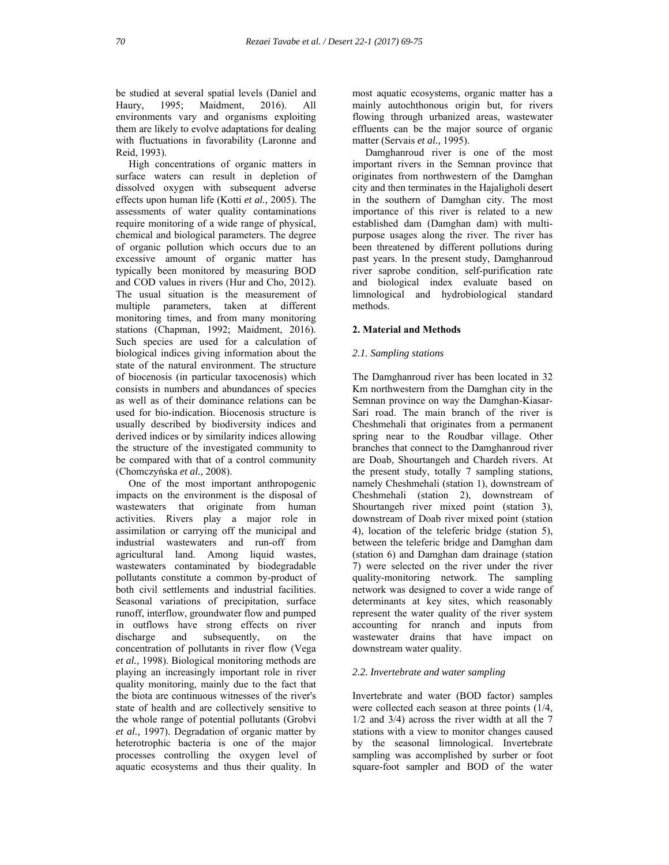be studied at several spatial levels (Daniel and Haury, 1995; Maidment, 2016). All environments vary and organisms exploiting them are likely to evolve adaptations for dealing with fluctuations in favorability (Laronne and Reid, 1993).

 High concentrations of organic matters in surface waters can result in depletion of dissolved oxygen with subsequent adverse effects upon human life (Kotti *et al.,* 2005). The assessments of water quality contaminations require monitoring of a wide range of physical, chemical and biological parameters. The degree of organic pollution which occurs due to an excessive amount of organic matter has typically been monitored by measuring BOD and COD values in rivers (Hur and Cho, 2012). The usual situation is the measurement of multiple parameters, taken at different monitoring times, and from many monitoring stations (Chapman, 1992; Maidment, 2016). Such species are used for a calculation of biological indices giving information about the state of the natural environment. The structure of biocenosis (in particular taxocenosis) which consists in numbers and abundances of species as well as of their dominance relations can be used for bio-indication. Biocenosis structure is usually described by biodiversity indices and derived indices or by similarity indices allowing the structure of the investigated community to be compared with that of a control community (Chomczyńska *et al.,* 2008).

 One of the most important anthropogenic impacts on the environment is the disposal of wastewaters that originate from human activities. Rivers play a major role in assimilation or carrying off the municipal and industrial wastewaters and run-off from agricultural land. Among liquid wastes, wastewaters contaminated by biodegradable pollutants constitute a common by-product of both civil settlements and industrial facilities. Seasonal variations of precipitation, surface runoff, interflow, groundwater flow and pumped in outflows have strong effects on river discharge and subsequently, on the concentration of pollutants in river flow (Vega *et al.,* 1998). Biological monitoring methods are playing an increasingly important role in river quality monitoring, mainly due to the fact that the biota are continuous witnesses of the river's state of health and are collectively sensitive to the whole range of potential pollutants (Grobvi *et al.,* 1997). Degradation of organic matter by heterotrophic bacteria is one of the major processes controlling the oxygen level of aquatic ecosystems and thus their quality. In

most aquatic ecosystems, organic matter has a mainly autochthonous origin but, for rivers flowing through urbanized areas, wastewater effluents can be the major source of organic matter (Servais *et al.,* 1995).

 Damghanroud river is one of the most important rivers in the Semnan province that originates from northwestern of the Damghan city and then terminates in the Hajaligholi desert in the southern of Damghan city. The most importance of this river is related to a new established dam (Damghan dam) with multipurpose usages along the river. The river has been threatened by different pollutions during past years. In the present study, Damghanroud river saprobe condition, self-purification rate and biological index evaluate based on limnological and hydrobiological standard methods.

# **2. Material and Methods**

# *2.1. Sampling stations*

The Damghanroud river has been located in 32 Km northwestern from the Damghan city in the Semnan province on way the Damghan-Kiasar-Sari road. The main branch of the river is Cheshmehali that originates from a permanent spring near to the Roudbar village. Other branches that connect to the Damghanroud river are Doab, Shourtangeh and Chardeh rivers. At the present study, totally 7 sampling stations, namely Cheshmehali (station 1), downstream of Cheshmehali (station 2), downstream of Shourtangeh river mixed point (station 3), downstream of Doab river mixed point (station 4), location of the teleferic bridge (station 5), between the teleferic bridge and Damghan dam (station 6) and Damghan dam drainage (station 7) were selected on the river under the river quality-monitoring network. The sampling network was designed to cover a wide range of determinants at key sites, which reasonably represent the water quality of the river system accounting for nranch and inputs from wastewater drains that have impact on downstream water quality.

# *2.2. Invertebrate and water sampling*

Invertebrate and water (BOD factor) samples were collected each season at three points (1/4, 1/2 and 3/4) across the river width at all the 7 stations with a view to monitor changes caused by the seasonal limnological. Invertebrate sampling was accomplished by surber or foot square-foot sampler and BOD of the water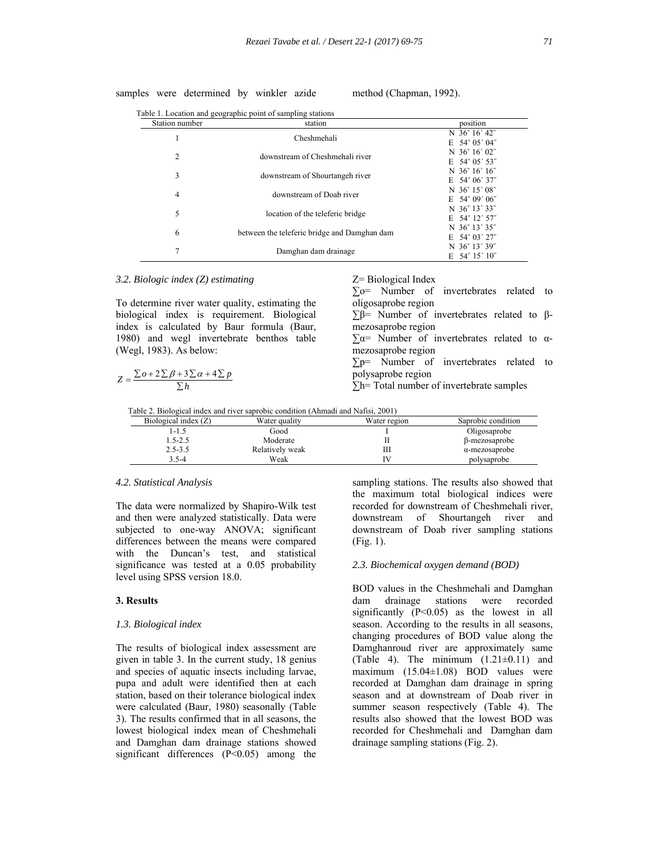samples were determined by winkler azide method (Chapman, 1992).

| Station number | station                                      | position                |  |
|----------------|----------------------------------------------|-------------------------|--|
|                | Cheshmehali                                  | N 36°16′42″             |  |
|                |                                              | $E$ 54° 05′ 04″         |  |
|                |                                              | N 36°16′02″             |  |
| 2              | downstream of Cheshmehali river              | $E$ 54° 05′ 53″         |  |
| 3              |                                              | N $36^{\circ} 16' 16''$ |  |
|                | downstream of Shourtangeh river              | E $54^{\circ}$ 06' 37"  |  |
|                | downstream of Doab river                     | N 36°15′08″             |  |
| $\overline{4}$ |                                              | $E$ 54° 09′ 06″         |  |
| 5              |                                              | N 36°13′33″             |  |
|                | location of the teleferic bridge             | E 54° 12' 57"           |  |
|                |                                              | N 36°13′35″             |  |
| 6              | between the teleferic bridge and Damghan dam | $E$ 54° 03′ 27″         |  |
| 7              |                                              | N 36°13′39″             |  |
|                | Damghan dam drainage                         | $E$ 54° 15′ 10″         |  |

#### *3.2. Biologic index (Z) estimating*

To determine river water quality, estimating the biological index is requirement. Biological index is calculated by Baur formula (Baur, 1980) and wegl invertebrate benthos table (Wegl, 1983). As below:

$$
Z = \frac{\sum o + 2\sum \beta + 3\sum \alpha + 4\sum p}{\sum h}
$$

Z= Biological Index

∑o= Number of invertebrates related to oligosaprobe region ∑β= Number of invertebrates related to βmezosaprobe region  $\Sigma \alpha$ = Number of invertebrates related to  $\alpha$ mezosaprobe region ∑p= Number of invertebrates related to polysaprobe region

**∑**h= Total number of invertebrate samples

Table 2. Biological index and river saprobic condition (Ahmadi and Nafisi, 2001)

| Biological index $(Z)$ | Water quality   | Water region | Saprobic condition    |  |  |
|------------------------|-----------------|--------------|-----------------------|--|--|
| 1-1.5                  | Good            |              | Oligosaprobe          |  |  |
| 1.5-2.5                | Moderate        |              | β-mezosaprobe         |  |  |
| $2.5 - 3.5$            | Relatively weak | ,,,,         | $\alpha$ -mezosaprobe |  |  |
| $3.5 - 4$              | Weak            |              | polysaprobe           |  |  |

#### *4.2. Statistical Analysis*

The data were normalized by Shapiro-Wilk test and then were analyzed statistically. Data were subjected to one-way ANOVA; significant differences between the means were compared with the Duncan's test, and statistical significance was tested at a 0.05 probability level using SPSS version 18.0.

### **3. Results**

#### *1.3. Biological index*

The results of biological index assessment are given in table 3. In the current study, 18 genius and species of aquatic insects including larvae, pupa and adult were identified then at each station, based on their tolerance biological index were calculated (Baur, 1980) seasonally (Table 3). The results confirmed that in all seasons, the lowest biological index mean of Cheshmehali and Damghan dam drainage stations showed significant differences (P<0.05) among the sampling stations. The results also showed that the maximum total biological indices were recorded for downstream of Cheshmehali river, downstream of Shourtangeh river and downstream of Doab river sampling stations (Fig. 1).

#### *2.3. Biochemical oxygen demand (BOD)*

BOD values in the Cheshmehali and Damghan dam drainage stations were recorded significantly (P<0.05) as the lowest in all season. According to the results in all seasons, changing procedures of BOD value along the Damghanroud river are approximately same (Table 4). The minimum  $(1.21\pm0.11)$  and maximum (15.04±1.08) BOD values were recorded at Damghan dam drainage in spring season and at downstream of Doab river in summer season respectively (Table 4). The results also showed that the lowest BOD was recorded for Cheshmehali and Damghan dam drainage sampling stations (Fig. 2).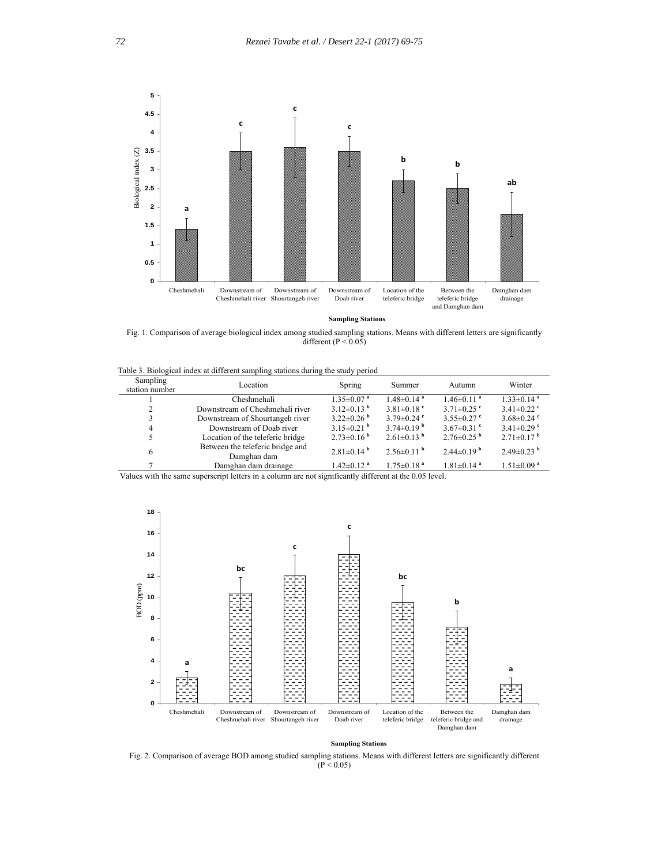

 **Sampling Stations**

Fig. 1. Comparison of average biological index among studied sampling stations. Means with different letters are significantly different ( $P < 0.05$ )

Table 3. Biological index at different sampling stations during the study period

| Sampling<br>station number | Location                                        | Spring                       | Summer                       | Autumn                       | Winter                       |
|----------------------------|-------------------------------------------------|------------------------------|------------------------------|------------------------------|------------------------------|
|                            | Cheshmehali                                     | $1.35 \pm 0.07$ <sup>a</sup> | $1.48 \pm 0.14$ <sup>a</sup> | $1.46 \pm 0.11$ <sup>a</sup> | $1.33 \pm 0.14$ <sup>a</sup> |
| 2                          | Downstream of Cheshmehali river                 | $3.12\pm0.13^{b}$            | $3.81 \pm 0.18$ <sup>c</sup> | $3.71\pm0.25$ <sup>c</sup>   | $3.41\pm0.22$ °              |
| 3                          | Downstream of Shourtangeh river                 | $3.22 \pm 0.26$ <sup>b</sup> | $3.79 \pm 0.24$ °            | $3.55 \pm 0.27$ °            | $3.68 \pm 0.24$ °            |
| 4                          | Downstream of Doab river                        | $3.15\pm0.21$ <sup>b</sup>   | $3.74\pm0.19^{b}$            | $3.67 \pm 0.31$ °            | $3.41\pm0.29$ °              |
|                            | Location of the teleferic bridge                | $2.73\pm0.16^{b}$            | $2.61\pm0.13^{b}$            | $2.76\pm0.25$ <sup>b</sup>   | $2.71\pm0.17^{b}$            |
| 6                          | Between the teleferic bridge and<br>Damghan dam | $2.81 \pm 0.14$ <sup>b</sup> | $2.56\pm0.11^{b}$            | $2.44\pm0.19^{b}$            | $2.49\pm0.23$ <sup>b</sup>   |
|                            | Damghan dam drainage                            | $1.42 \pm 0.12$ <sup>a</sup> | $1.75 \pm 0.18$ <sup>a</sup> | $1.81 \pm 0.14$ <sup>a</sup> | $1.51 \pm 0.09$ <sup>a</sup> |

Values with the same superscript letters in a column are not significantly different at the 0.05 level.



 **Sampling Stations**

Fig. 2. Comparison of average BOD among studied sampling stations. Means with different letters are significantly different  $(P < 0.05)$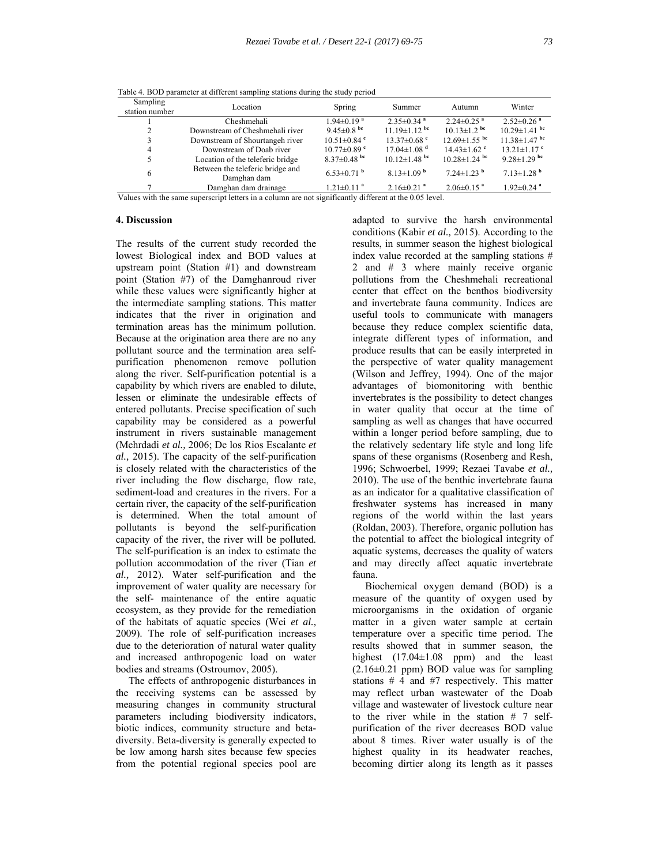| Sampling<br>station number | Location                                        | Spring                        | Summer                        | Autumn                        | Winter                       |
|----------------------------|-------------------------------------------------|-------------------------------|-------------------------------|-------------------------------|------------------------------|
|                            | Cheshmehali                                     | $1.94 \pm 0.19$ <sup>a</sup>  | $2.35 \pm 0.34$ <sup>a</sup>  | $2.24 \pm 0.25$ <sup>a</sup>  | $2.52 \pm 0.26$ <sup>a</sup> |
| 2                          | Downstream of Cheshmehali river                 | 9.45 $\pm$ 0.8 bc             | $11.19 \pm 1.12$ bc           | $10.13 \pm 1.2$ bc            | $10.29 \pm 1.41$ bc          |
|                            | Downstream of Shourtangeh river                 | $10.51 \pm 0.84$ <sup>c</sup> | $13.37\pm0.68$ °              | $12.69 \pm 1.55$ bc           | $11.38 \pm 1.47$ bc          |
| 4                          | Downstream of Doab river                        | $10.77 \pm 0.89$ °            | $17.04 \pm 1.08$ <sup>d</sup> | $14.43 \pm 1.62$ <sup>c</sup> | $13.21 \pm 1.17$ °           |
|                            | Location of the teleferic bridge                | $8.37 \pm 0.48$ bc            | $10.12 \pm 1.48$ bc           | $10.28 \pm 1.24$ bc           | 9.28 $\pm$ 1.29 bc           |
| 6                          | Between the teleferic bridge and<br>Damghan dam | $6.53\pm0.71$ <sup>b</sup>    | $8.13 \pm 1.09$ <sup>b</sup>  | $7.24 \pm 1.23$ <sup>b</sup>  | $7.13 \pm 1.28$ <sup>b</sup> |
|                            | Damghan dam drainage                            | $1.21 \pm 0.11$ <sup>a</sup>  | $2.16 \pm 0.21$ <sup>a</sup>  | $2.06\pm0.15$ <sup>a</sup>    | $1.92 \pm 0.24$ <sup>a</sup> |
|                            |                                                 |                               |                               |                               |                              |

Table 4. BOD parameter at different sampling stations during the study period

Values with the same superscript letters in a column are not significantly different at the 0.05 level.

# **4. Discussion**

The results of the current study recorded the lowest Biological index and BOD values at upstream point (Station #1) and downstream point (Station #7) of the Damghanroud river while these values were significantly higher at the intermediate sampling stations. This matter indicates that the river in origination and termination areas has the minimum pollution. Because at the origination area there are no any pollutant source and the termination area selfpurification phenomenon remove pollution along the river. Self-purification potential is a capability by which rivers are enabled to dilute, lessen or eliminate the undesirable effects of entered pollutants. Precise specification of such capability may be considered as a powerful instrument in rivers sustainable management (Mehrdadi *et al.,* 2006; De los Rios Escalante *et al.,* 2015). The capacity of the self-purification is closely related with the characteristics of the river including the flow discharge, flow rate, sediment-load and creatures in the rivers. For a certain river, the capacity of the self-purification is determined. When the total amount of pollutants is beyond the self-purification capacity of the river, the river will be polluted. The self-purification is an index to estimate the pollution accommodation of the river (Tian *et al.,* 2012). Water self-purification and the improvement of water quality are necessary for the self- maintenance of the entire aquatic ecosystem, as they provide for the remediation of the habitats of aquatic species (Wei *et al.,* 2009). The role of self-purification increases due to the deterioration of natural water quality and increased anthropogenic load on water bodies and streams (Ostroumov, 2005).

 The effects of anthropogenic disturbances in the receiving systems can be assessed by measuring changes in community structural parameters including biodiversity indicators, biotic indices, community structure and betadiversity. Beta-diversity is generally expected to be low among harsh sites because few species from the potential regional species pool are adapted to survive the harsh environmental conditions (Kabir *et al.,* 2015). According to the results, in summer season the highest biological index value recorded at the sampling stations # 2 and # 3 where mainly receive organic pollutions from the Cheshmehali recreational center that effect on the benthos biodiversity and invertebrate fauna community. Indices are useful tools to communicate with managers because they reduce complex scientific data, integrate different types of information, and produce results that can be easily interpreted in the perspective of water quality management (Wilson and Jeffrey, 1994). One of the major advantages of biomonitoring with benthic invertebrates is the possibility to detect changes in water quality that occur at the time of sampling as well as changes that have occurred within a longer period before sampling, due to the relatively sedentary life style and long life spans of these organisms (Rosenberg and Resh, 1996; Schwoerbel, 1999; Rezaei Tavabe *et al.,* 2010). The use of the benthic invertebrate fauna as an indicator for a qualitative classification of freshwater systems has increased in many regions of the world within the last years (Roldan, 2003). Therefore, organic pollution has the potential to affect the biological integrity of aquatic systems, decreases the quality of waters and may directly affect aquatic invertebrate fauna.

 Biochemical oxygen demand (BOD) is a measure of the quantity of oxygen used by microorganisms in the oxidation of organic matter in a given water sample at certain temperature over a specific time period. The results showed that in summer season, the highest (17.04±1.08 ppm) and the least  $(2.16\pm0.21$  ppm) BOD value was for sampling stations # 4 and #7 respectively. This matter may reflect urban wastewater of the Doab village and wastewater of livestock culture near to the river while in the station # 7 selfpurification of the river decreases BOD value about 8 times. River water usually is of the highest quality in its headwater reaches, becoming dirtier along its length as it passes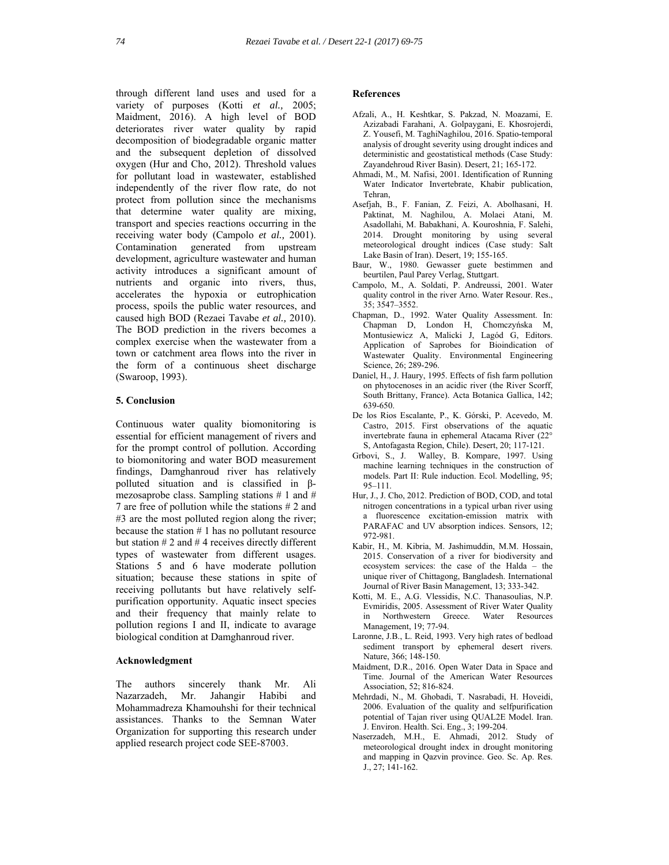through different land uses and used for a variety of purposes (Kotti *et al.,* 2005; Maidment, 2016). A high level of BOD deteriorates river water quality by rapid decomposition of biodegradable organic matter and the subsequent depletion of dissolved oxygen (Hur and Cho, 2012). Threshold values for pollutant load in wastewater, established independently of the river flow rate, do not protect from pollution since the mechanisms that determine water quality are mixing, transport and species reactions occurring in the receiving water body (Campolo *et al.,* 2001). Contamination generated from upstream development, agriculture wastewater and human activity introduces a significant amount of nutrients and organic into rivers, thus, accelerates the hypoxia or eutrophication process, spoils the public water resources, and caused high BOD (Rezaei Tavabe *et al.,* 2010). The BOD prediction in the rivers becomes a complex exercise when the wastewater from a town or catchment area flows into the river in the form of a continuous sheet discharge (Swaroop, 1993).

#### **5. Conclusion**

Continuous water quality biomonitoring is essential for efficient management of rivers and for the prompt control of pollution. According to biomonitoring and water BOD measurement findings, Damghanroud river has relatively polluted situation and is classified in βmezosaprobe class. Sampling stations  $# 1$  and  $# 1$ 7 are free of pollution while the stations # 2 and #3 are the most polluted region along the river; because the station # 1 has no pollutant resource but station  $# 2$  and  $# 4$  receives directly different types of wastewater from different usages. Stations 5 and 6 have moderate pollution situation; because these stations in spite of receiving pollutants but have relatively selfpurification opportunity. Aquatic insect species and their frequency that mainly relate to pollution regions І and ІІ, indicate to avarage biological condition at Damghanroud river.

## **Acknowledgment**

The authors sincerely thank Mr. Ali Nazarzadeh, Mr. Jahangir Habibi and Mohammadreza Khamouhshi for their technical assistances. Thanks to the Semnan Water Organization for supporting this research under applied research project code SEE-87003.

#### **References**

- Afzali, A., H. Keshtkar, S. Pakzad, N. Moazami, E. Azizabadi Farahani, A. Golpaygani, E. Khosrojerdi, Z. Yousefi, M. TaghiNaghilou, 2016. Spatio-temporal analysis of drought severity using drought indices and deterministic and geostatistical methods (Case Study: Zayandehroud River Basin). Desert, 21; 165-172.
- Ahmadi, M., M. Nafisi, 2001. Identification of Running Water Indicator Invertebrate, Khabir publication, Tehran,
- Asefjah, B., F. Fanian, Z. Feizi, A. Abolhasani, H. Paktinat, M. Naghilou, A. Molaei Atani, M. Asadollahi, M. Babakhani, A. Kouroshnia, F. Salehi, 2014. Drought monitoring by using several meteorological drought indices (Case study: Salt Lake Basin of Iran). Desert, 19; 155-165.
- Baur, W., 1980. Gewasser guete bestimmen and beurtilen, Paul Parey Verlag, Stuttgart.
- Campolo, M., A. Soldati, P. Andreussi, 2001. Water quality control in the river Arno. Water Resour. Res., 35; 3547–3552.
- Chapman, D., 1992. Water Quality Assessment. In: Chapman D, London H, Chomczyńska M, Montusiewicz A, Malicki J, Lagód G, Editors. Application of Saprobes for Bioindication of Wastewater Quality. Environmental Engineering Science, 26; 289-296.
- Daniel, H., J. Haury, 1995. Effects of fish farm pollution on phytocenoses in an acidic river (the River Scorff, South Brittany, France). Acta Botanica Gallica, 142; 639-650.
- De los Rios Escalante, P., K. Górski, P. Acevedo, M. Castro, 2015. First observations of the aquatic invertebrate fauna in ephemeral Atacama River (22° S, Antofagasta Region, Chile). Desert, 20; 117-121.
- Grbovi, S., J. Walley, B. Kompare, 1997. Using machine learning techniques in the construction of models. Part II: Rule induction. Ecol. Modelling, 95; 95–111.
- Hur, J., J. Cho, 2012. Prediction of BOD, COD, and total nitrogen concentrations in a typical urban river using a fluorescence excitation-emission matrix with PARAFAC and UV absorption indices. Sensors, 12; 972-981.
- Kabir, H., M. Kibria, M. Jashimuddin, M.M. Hossain, 2015. Conservation of a river for biodiversity and ecosystem services: the case of the Halda – the unique river of Chittagong, Bangladesh. International Journal of River Basin Management, 13; 333-342.
- Kotti, M. E., A.G. Vlessidis, N.C. Thanasoulias, N.P. Evmiridis, 2005. Assessment of River Water Quality in Northwestern Greece. Water Resources Management, 19; 77-94.
- Laronne, J.B., L. Reid, 1993. Very high rates of bedload sediment transport by ephemeral desert rivers. Nature, 366; 148-150.
- Maidment, D.R., 2016. Open Water Data in Space and Time. Journal of the American Water Resources Association, 52; 816-824.
- Mehrdadi, N., M. Ghobadi, T. Nasrabadi, H. Hoveidi, 2006. Evaluation of the quality and selfpurification potential of Tajan river using QUAL2E Model. Iran. J. Environ. Health. Sci. Eng., 3; 199-204.
- Naserzadeh, M.H., E. Ahmadi, 2012. Study of meteorological drought index in drought monitoring and mapping in Qazvin province. Geo. Sc. Ap. Res. J., 27; 141-162.